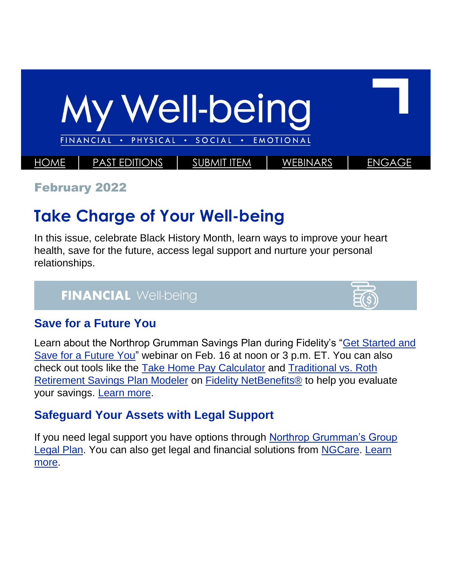

February 2022

# **Take Charge of Your Well-being**

In this issue, celebrate Black History Month, learn ways to improve your heart health, save for the future, access legal support and nurture your personal relationships.

# **FINANCIAL Well-being**



#### **Save for a Future You**

Learn about the Northrop Grumman Savings Plan during Fidelity's ["Get Started and](https://netbenefits.fidelity.com/NBLogin/?option=ledetail&Target=cours000000000023720)  [Save for a Future You"](https://netbenefits.fidelity.com/NBLogin/?option=ledetail&Target=cours000000000023720) webinar on Feb. 16 at noon or 3 p.m. ET. You can also check out tools like the [Take Home Pay Calculator](https://workplaceservices.fidelity.com/mybenefits/employerservices/app/tools/dc/calculators/takehomepay) and [Traditional vs. Roth](https://workplaceservices.fidelity.com/mybenefits/employerservices/navigation/librarysublanding?page=byFormat/tools_calculators)  [Retirement Savings Plan Modeler](https://workplaceservices.fidelity.com/mybenefits/employerservices/navigation/librarysublanding?page=byFormat/tools_calculators) on [Fidelity NetBenefits®](https://nb.fidelity.com/public/nb/default/home) to help you evaluate your savings. [Learn more.](https://totalrewards.northropgrumman.com/article/109/save-for-a-future-you)

# **Safeguard Your Assets with Legal Support**

If you need legal support you have options through [Northrop Grumman's Group](https://totalrewards.northropgrumman.com/page/43/financial)  [Legal Plan.](https://totalrewards.northropgrumman.com/page/43/financial) You can also get legal and financial solutions from [NGCare.](https://home-us.myngc.com/ngcorp/CorpResp/NGCare/Pages/Navigation%20links/LegalFinanical.aspx) [Learn](https://totalrewards.northropgrumman.com/article/105/safeguard-your-assets)  [more.](https://totalrewards.northropgrumman.com/article/105/safeguard-your-assets)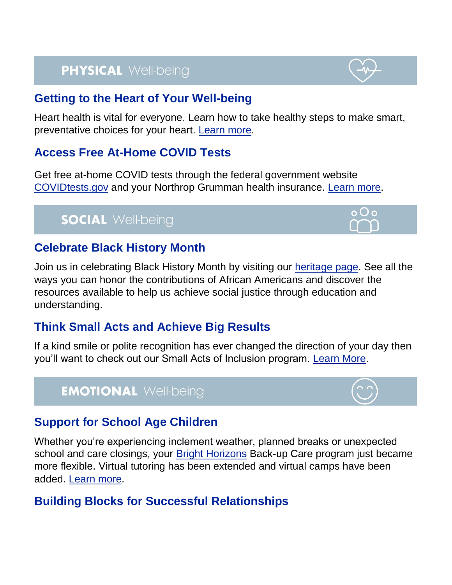# **PHYSICAL Well-being**

#### **Getting to the Heart of Your Well-being**

Heart health is vital for everyone. Learn how to take healthy steps to make smart, preventative choices for your heart. [Learn more.](https://totalrewards.northropgrumman.com/article/108/getting-to-the-heart-of-your-well-being)

#### **Access Free At-Home COVID Tests**

Get free at-home COVID tests through the federal government website [COVIDtests.gov](https://www.covidtests.gov/) and your Northrop Grumman health insurance. [Learn more.](https://totalrewards.northropgrumman.com/article/104/covid-testing)

# **SOCIAL Well-being**

#### **Celebrate Black History Month**

Join us in celebrating Black History Month by visiting our [heritage page.](https://home.amer.myngc.com/HM/Pages/BHM.aspx) See all the ways you can honor the contributions of African Americans and discover the resources available to help us achieve social justice through education and understanding.

#### **Think Small Acts and Achieve Big Results**

If a kind smile or polite recognition has ever changed the direction of your day then you'll want to check out our Small Acts of Inclusion program. [Learn More.](https://home-us.myngc.com/ngcorp/CorpResp/DiversityEquityInclusion/Pages/SAoI.aspx)

### **EMOTIONAL Well-being**

#### **Support for School Age Children**

Whether you're experiencing inclement weather, planned breaks or unexpected school and care closings, your **Bright Horizons Back-up Care program just became** more flexible. Virtual tutoring has been extended and virtual camps have been added. [Learn more.](https://totalrewards.northropgrumman.com/article/106/support-for-school-age-children)

#### **Building Blocks for Successful Relationships**



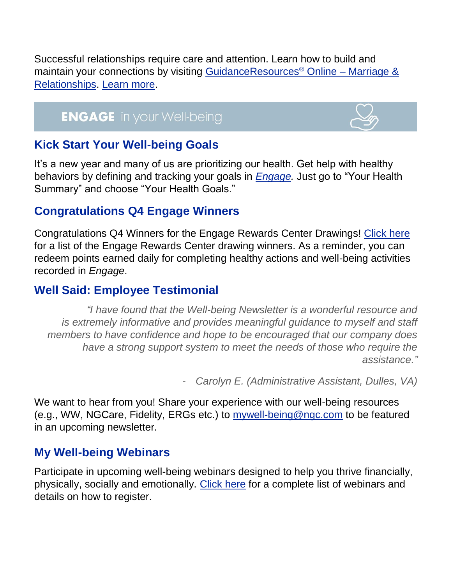Successful relationships require care and attention. Learn how to build and maintain your connections by visiting [GuidanceResources](https://www.guidanceresources.com/groWeb/s/topic.xhtml?nodeId=7410)® Online – Marriage & [Relationships.](https://www.guidanceresources.com/groWeb/s/topic.xhtml?nodeId=7410) [Learn more.](https://totalrewards.northropgrumman.com/article/110/its-all-about-relationships)

# **ENGAGE** in your Well-being



#### **Kick Start Your Well-being Goals**

It's a new year and many of us are prioritizing our health. Get help with healthy behaviors by defining and tracking your goals in *[Engage.](https://app.engage-wellbeing.com/v2/registration/e/northrop_grumman)* Just go to "Your Health Summary" and choose "Your Health Goals."

#### **Congratulations Q4 Engage Winners**

Congratulations Q4 Winners for the Engage Rewards Center Drawings! [Click here](https://cdn.castlighthealth.com/image/upload/v1642539337/NGC/Congratulations_to_Winners_of_Our_4th_Quarter.pdf) for a list of the Engage Rewards Center drawing winners. As a reminder, you can redeem points earned daily for completing healthy actions and well-being activities recorded in *Engage*.

#### **Well Said: Employee Testimonial**

*"I have found that the Well-being Newsletter is a wonderful resource and is extremely informative and provides meaningful guidance to myself and staff members to have confidence and hope to be encouraged that our company does have a strong support system to meet the needs of those who require the assistance."*

- *Carolyn E. (Administrative Assistant, Dulles, VA)*

We want to hear from you! Share your experience with our well-being resources (e.g., WW, NGCare, Fidelity, ERGs etc.) to [mywell-being@ngc.com](mailto:mywell-being@ngc.com) to be featured in an upcoming newsletter.

#### **My Well-being Webinars**

Participate in upcoming well-being webinars designed to help you thrive financially, physically, socially and emotionally. [Click here](https://totalrewards.northropgrumman.com/page/48/library/accordion/191/well-being-webinars-and-on-demand-library) for a complete list of webinars and details on how to register.